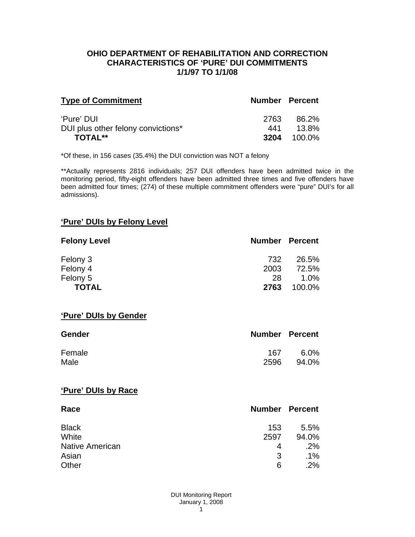## **OHIO DEPARTMENT OF REHABILITATION AND CORRECTION CHARACTERISTICS OF 'PURE' DUI COMMITMENTS 1/1/97 TO 1/1/08**

| <b>Type of Commitment</b>          | <b>Number Percent</b> |        |
|------------------------------------|-----------------------|--------|
| 'Pure' DUI                         | 2763                  | 86.2%  |
| DUI plus other felony convictions* | 441                   | 13.8%  |
| TOTAL**                            | 3204                  | 100.0% |

\*Of these, in 156 cases (35.4%) the DUI conviction was NOT a felony

\*\*Actually represents 2816 individuals; 257 DUI offenders have been admitted twice in the monitoring period, fifty-eight offenders have been admitted three times and five offenders have been admitted four times; (274) of these multiple commitment offenders were "pure" DUI's for all admissions).

# **'Pure' DUIs by Felony Level**

| <b>Felony Level</b> | <b>Number Percent</b> |         |
|---------------------|-----------------------|---------|
| Felony 3            | 732                   | 26.5%   |
| Felony 4            | 2003                  | 72.5%   |
| Felony 5            | 28                    | $1.0\%$ |
| <b>TOTAL</b>        | 2763                  | 100.0%  |

#### **'Pure' DUIs by Gender**

| <b>Gender</b> | <b>Number Percent</b> |         |
|---------------|-----------------------|---------|
| Female        | 167                   | $6.0\%$ |
| Male          | 2596                  | 94.0%   |

#### **'Pure' DUIs by Race**

| Race                   | <b>Number Percent</b> |        |
|------------------------|-----------------------|--------|
| <b>Black</b>           | 153                   | 5.5%   |
| White                  | 2597                  | 94.0%  |
| <b>Native American</b> | 4                     | .2%    |
| Asian                  | 3                     | $.1\%$ |
| Other                  | 6                     | .2%    |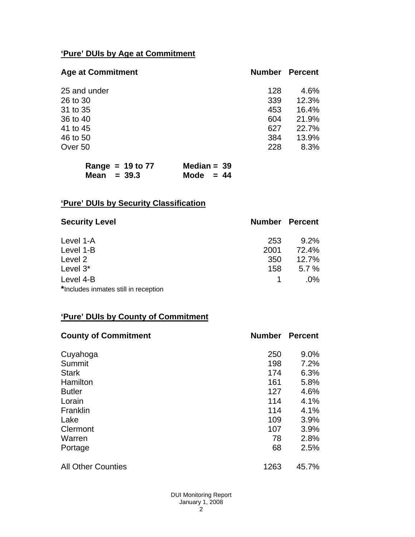# **'Pure' DUIs by Age at Commitment**

| <b>Age at Commitment</b> | <b>Number</b> | <b>Percent</b> |
|--------------------------|---------------|----------------|
| 25 and under             | 128           | 4.6%           |
| 26 to 30                 | 339           | 12.3%          |
| 31 to 35                 | 453           | 16.4%          |
| 36 to 40                 | 604           | 21.9%          |
| 41 to 45                 | 627           | 22.7%          |
| 46 to 50                 | 384           | 13.9%          |
| Over 50                  | 228           | 8.3%           |

| Range = $19$ to 77 | Median = $39$ |
|--------------------|---------------|
| Mean $=$ 39.3      | Mode $= 44$   |

# **'Pure' DUIs by Security Classification**

| <b>Security Level</b>                | <b>Number Percent</b> |         |
|--------------------------------------|-----------------------|---------|
| Level 1-A                            | 253                   | $9.2\%$ |
| Level 1-B                            | 2001                  | 72.4%   |
| Level 2                              | 350                   | 12.7%   |
| Level 3*                             | 158                   | 5.7%    |
| Level 4-B                            |                       | $.0\%$  |
| *Includes inmates still in reception |                       |         |

# **'Pure' DUIs by County of Commitment**

| <b>County of Commitment</b> | <b>Number</b> | <b>Percent</b> |
|-----------------------------|---------------|----------------|
| Cuyahoga                    | 250           | 9.0%           |
| Summit                      | 198           | 7.2%           |
| <b>Stark</b>                | 174           | 6.3%           |
| Hamilton                    | 161           | 5.8%           |
| <b>Butler</b>               | 127           | 4.6%           |
| Lorain                      | 114           | 4.1%           |
| Franklin                    | 114           | 4.1%           |
| Lake                        | 109           | 3.9%           |
| Clermont                    | 107           | 3.9%           |
| Warren                      | 78            | 2.8%           |
| Portage                     | 68            | 2.5%           |
| <b>All Other Counties</b>   | 1263          | 45.7%          |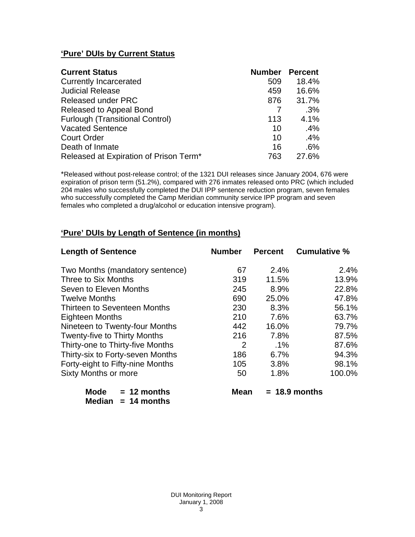# **'Pure' DUIs by Current Status**

| <b>Current Status</b>                  | <b>Number Percent</b> |       |
|----------------------------------------|-----------------------|-------|
| <b>Currently Incarcerated</b>          | 509                   | 18.4% |
| <b>Judicial Release</b>                | 459                   | 16.6% |
| <b>Released under PRC</b>              | 876                   | 31.7% |
| Released to Appeal Bond                |                       | .3%   |
| <b>Furlough (Transitional Control)</b> | 113                   | 4.1%  |
| <b>Vacated Sentence</b>                | 10                    | .4%   |
| <b>Court Order</b>                     | 10                    | .4%   |
| Death of Inmate                        | 16                    | .6%   |
| Released at Expiration of Prison Term* | 763                   | 27.6% |

\*Released without post-release control; of the 1321 DUI releases since January 2004, 676 were expiration of prison term (51.2%), compared with 276 inmates released onto PRC (which included 204 males who successfully completed the DUI IPP sentence reduction program, seven females who successfully completed the Camp Meridian community service IPP program and seven females who completed a drug/alcohol or education intensive program).

# **'Pure' DUIs by Length of Sentence (in months)**

| <b>Length of Sentence</b>           | <b>Number</b> | <b>Percent</b> | <b>Cumulative %</b> |
|-------------------------------------|---------------|----------------|---------------------|
| Two Months (mandatory sentence)     | 67            | 2.4%           | 2.4%                |
| Three to Six Months                 | 319           | 11.5%          | 13.9%               |
| Seven to Eleven Months              | 245           | 8.9%           | 22.8%               |
| <b>Twelve Months</b>                | 690           | 25.0%          | 47.8%               |
| Thirteen to Seventeen Months        | 230           | 8.3%           | 56.1%               |
| <b>Eighteen Months</b>              | 210           | 7.6%           | 63.7%               |
| Nineteen to Twenty-four Months      | 442           | 16.0%          | 79.7%               |
| <b>Twenty-five to Thirty Months</b> | 216           | 7.8%           | 87.5%               |
| Thirty-one to Thirty-five Months    | 2             | $.1\%$         | 87.6%               |
| Thirty-six to Forty-seven Months    | 186           | 6.7%           | 94.3%               |
| Forty-eight to Fifty-nine Months    | 105           | 3.8%           | 98.1%               |
| Sixty Months or more                | 50            | 1.8%           | 100.0%              |

| Mode   | $= 12$ months |
|--------|---------------|
| Median | $= 14$ months |

 $Mean = 18.9 months$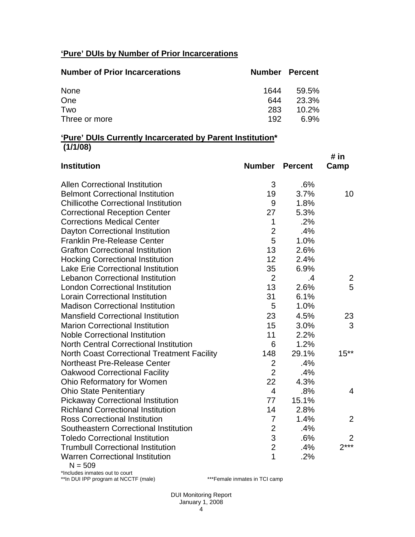# **'Pure' DUIs by Number of Prior Incarcerations**

| <b>Number of Prior Incarcerations</b> |      | <b>Number Percent</b> |
|---------------------------------------|------|-----------------------|
| None                                  | 1644 | 59.5%                 |
| One                                   | 644  | 23.3%                 |
| Two                                   | 283  | $10.2\%$              |
| Three or more                         | 192  | 6.9%                  |

## **'Pure' DUIs Currently Incarcerated by Parent Institution\* (1/1/08)**

| <b>Institution</b>                                     | <b>Number</b>  | <b>Percent</b> | # in<br>Camp   |
|--------------------------------------------------------|----------------|----------------|----------------|
| <b>Allen Correctional Institution</b>                  | 3              | .6%            |                |
| <b>Belmont Correctional Institution</b>                | 19             | 3.7%           | 10             |
| <b>Chillicothe Correctional Institution</b>            | 9              | 1.8%           |                |
| <b>Correctional Reception Center</b>                   | 27             | 5.3%           |                |
| <b>Corrections Medical Center</b>                      | $\mathbf{1}$   | .2%            |                |
| Dayton Correctional Institution                        | $\overline{2}$ | .4%            |                |
| <b>Franklin Pre-Release Center</b>                     | 5              | 1.0%           |                |
| <b>Grafton Correctional Institution</b>                | 13             | 2.6%           |                |
| <b>Hocking Correctional Institution</b>                | 12             | 2.4%           |                |
| <b>Lake Erie Correctional Institution</b>              | 35             | 6.9%           |                |
| <b>Lebanon Correctional Institution</b>                | $\overline{2}$ | .4             | 2              |
| <b>London Correctional Institution</b>                 | 13             | 2.6%           | 5              |
| <b>Lorain Correctional Institution</b>                 | 31             | 6.1%           |                |
| <b>Madison Correctional Institution</b>                | 5              | 1.0%           |                |
| <b>Mansfield Correctional Institution</b>              | 23             | 4.5%           | 23             |
| <b>Marion Correctional Institution</b>                 | 15             | 3.0%           | 3              |
| <b>Noble Correctional Institution</b>                  | 11             | 2.2%           |                |
| <b>North Central Correctional Institution</b>          | 6              | 1.2%           |                |
| <b>North Coast Correctional Treatment Facility</b>     | 148            | 29.1%          | $15***$        |
| <b>Northeast Pre-Release Center</b>                    | $\overline{2}$ | .4%            |                |
| <b>Oakwood Correctional Facility</b>                   | $\overline{2}$ | .4%            |                |
| Ohio Reformatory for Women                             | 22             | 4.3%           |                |
| <b>Ohio State Penitentiary</b>                         | $\overline{4}$ | .8%            | 4              |
| <b>Pickaway Correctional Institution</b>               | 77             | 15.1%          |                |
| <b>Richland Correctional Institution</b>               | 14             | 2.8%           |                |
| <b>Ross Correctional Institution</b>                   | 7              | 1.4%           | 2              |
| Southeastern Correctional Institution                  | $\overline{2}$ | .4%            |                |
| <b>Toledo Correctional Institution</b>                 | 3              | .6%            | $\overline{2}$ |
| <b>Trumbull Correctional Institution</b>               | $\overline{2}$ | .4%            | $2***$         |
| <b>Warren Correctional Institution</b><br>$\mathbf{F}$ | 1              | .2%            |                |

 $N = 509$ 

\*Includes inmates out to court \*\*In DUI IPP program at NCCTF (male) \*\*\*Female inmates in TCI camp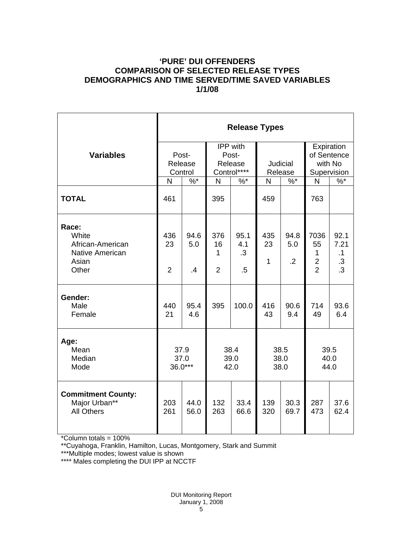# **'PURE' DUI OFFENDERS COMPARISON OF SELECTED RELEASE TYPES DEMOGRAPHICS AND TIME SERVED/TIME SAVED VARIABLES 1/1/08**

|                                                                                | <b>Release Types</b>        |                                |                                             |                                |                           |                               |                                                                |                                       |  |
|--------------------------------------------------------------------------------|-----------------------------|--------------------------------|---------------------------------------------|--------------------------------|---------------------------|-------------------------------|----------------------------------------------------------------|---------------------------------------|--|
| <b>Variables</b>                                                               |                             | Post-<br>Release<br>Control    | IPP with<br>Post-<br>Release<br>Control**** |                                | Judicial<br>Release       |                               | Expiration<br>of Sentence<br>with No<br>Supervision            |                                       |  |
|                                                                                | N                           | $%$ *                          | $\mathsf{N}$<br>$%$ *                       |                                | $\% *$<br>N               |                               | $\%$ *<br>N                                                    |                                       |  |
| <b>TOTAL</b>                                                                   | 461                         |                                | 395                                         |                                | 459                       |                               | 763                                                            |                                       |  |
| Race:<br>White<br>African-American<br><b>Native American</b><br>Asian<br>Other | 436<br>23<br>$\overline{2}$ | 94.6<br>5.0<br>$\overline{.4}$ | 376<br>16<br>1<br>$\overline{2}$            | 95.1<br>4.1<br>$\cdot$ 3<br>.5 | 435<br>23<br>$\mathbf{1}$ | 94.8<br>5.0<br>$\overline{2}$ | 7036<br>55<br>$\mathbf{1}$<br>$\overline{2}$<br>$\overline{2}$ | 92.1<br>7.21<br>.1<br>.3<br>$\cdot$ 3 |  |
| Gender:<br>Male<br>Female                                                      | 440<br>21                   | 95.4<br>4.6                    | 395                                         | 100.0                          | 416<br>43                 | 90.6<br>9.4                   | 714<br>49                                                      | 93.6<br>6.4                           |  |
| Age:<br>Mean<br>Median<br>Mode                                                 | 37.9<br>37.0<br>36.0***     |                                | 38.4<br>39.0<br>42.0                        |                                | 38.5<br>38.0<br>38.0      |                               | 39.5<br>40.0<br>44.0                                           |                                       |  |
| <b>Commitment County:</b><br>Major Urban**<br><b>All Others</b>                | 203<br>261                  | 44.0<br>56.0                   | 132<br>263                                  | 33.4<br>66.6                   | 139<br>320                | 30.3<br>69.7                  | 287<br>473                                                     | 37.6<br>62.4                          |  |

\*Column totals = 100%

\*\*Cuyahoga, Franklin, Hamilton, Lucas, Montgomery, Stark and Summit

\*\*\*Multiple modes; lowest value is shown

\*\*\*\* Males completing the DUI IPP at NCCTF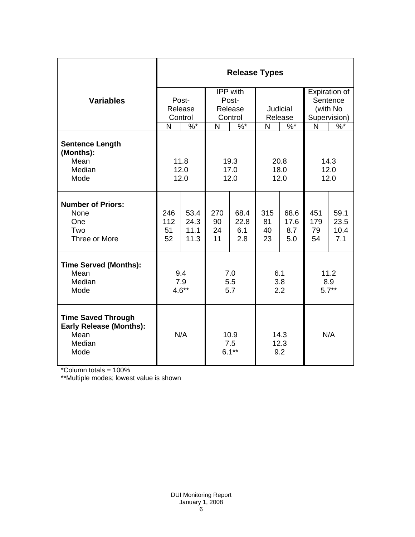|                                                                                       | <b>Release Types</b>        |                              |                                         |                            |                       |                            |                                                       |                             |
|---------------------------------------------------------------------------------------|-----------------------------|------------------------------|-----------------------------------------|----------------------------|-----------------------|----------------------------|-------------------------------------------------------|-----------------------------|
| <b>Variables</b>                                                                      | Post-<br>Release<br>Control |                              | IPP with<br>Post-<br>Release<br>Control |                            | Judicial<br>Release   |                            | Expiration of<br>Sentence<br>(with No<br>Supervision) |                             |
|                                                                                       | N                           | $\%$ *                       | $\frac{9}{6}$<br>N                      |                            | N<br>$\%$ *           |                            | N                                                     | $\frac{9}{6}$               |
| <b>Sentence Length</b><br>(Months):<br>Mean<br>Median<br>Mode                         | 11.8<br>12.0<br>12.0        |                              | 19.3<br>17.0<br>12.0                    |                            | 20.8<br>18.0<br>12.0  |                            | 14.3<br>12.0<br>12.0                                  |                             |
| <b>Number of Priors:</b><br>None<br>One<br>Two<br>Three or More                       | 246<br>112<br>51<br>52      | 53.4<br>24.3<br>11.1<br>11.3 | 270<br>90<br>24<br>11                   | 68.4<br>22.8<br>6.1<br>2.8 | 315<br>81<br>40<br>23 | 68.6<br>17.6<br>8.7<br>5.0 | 451<br>179<br>79<br>54                                | 59.1<br>23.5<br>10.4<br>7.1 |
| <b>Time Served (Months):</b><br>Mean<br>Median<br>Mode                                | 9.4<br>7.9<br>$4.6**$       |                              | 7.0<br>5.5<br>5.7                       |                            | 6.1<br>3.8<br>2.2     |                            | 11.2<br>8.9<br>$5.7**$                                |                             |
| <b>Time Saved Through</b><br><b>Early Release (Months):</b><br>Mean<br>Median<br>Mode | N/A                         |                              | 10.9<br>7.5<br>$6.1***$                 |                            | 14.3<br>12.3<br>9.2   |                            | N/A                                                   |                             |

\*Column totals = 100%

\*\*Multiple modes; lowest value is shown